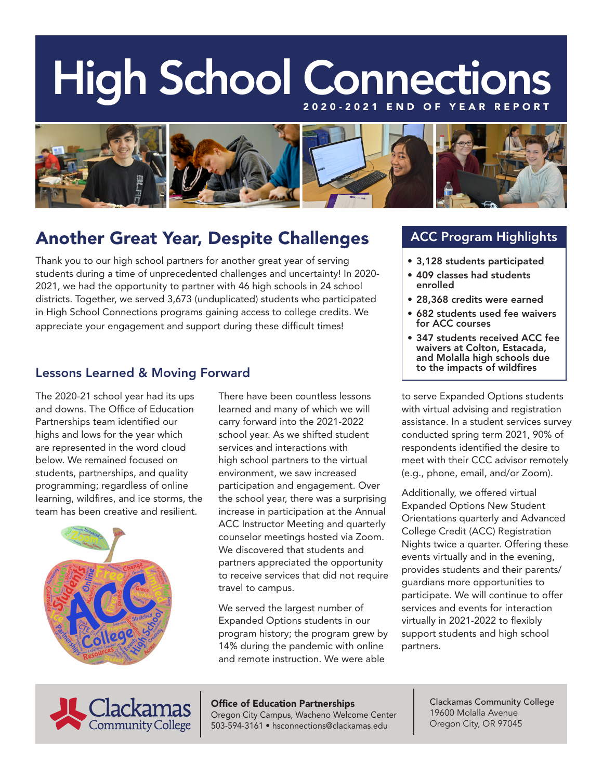# High School Connections



## Another Great Year, Despite Challenges

Thank you to our high school partners for another great year of serving students during a time of unprecedented challenges and uncertainty! In 2020- 2021, we had the opportunity to partner with 46 high schools in 24 school districts. Together, we served 3,673 (unduplicated) students who participated in High School Connections programs gaining access to college credits. We appreciate your engagement and support during these difficult times!

#### Lessons Learned & Moving Forward

The 2020-21 school year had its ups There have been countless lessons to serve Expanded Options students



and downs. The Office of Education learned and many of which we will with virtual advising and registration highs and lows for the year which school year. As we shifted student conducted spring term 2021, 90% of are represented in the word cloud services and interactions with respondents identified the desire to below. We remained focused on high school partners to the virtual meet with their CCC advisor remotely students, partnerships, and quality environment, we saw increased (e.g., phone, email, and/or Zoom).

> We served the largest number of services and events for interaction Expanded Options students in our virtually in 2021-2022 to flexibly program history; the program grew by support students and high school 14% during the pandemic with online partners. and remote instruction. We were able

#### ACC Program Highlights

- 3,128 students participated
- 409 classes had students enrolled
- 28,368 credits were earned
- 682 students used fee waivers for ACC courses
- 347 students received ACC fee waivers at Colton, Estacada, and Molalla high schools due to the impacts of wildfires

Partnerships team identified our carry forward into the 2021-2022 assistance. In a student services survey

programming; regardless of online participation and engagement. Over<br>learning, wildfires, and ice storms, the the school year, there was a surprising texpanded Options New Student<br>team has been creative and resilient. Incr



**Office of Education Partnerships** Clackamas Community College<br>Cregon City Campus, Wacheno Welcome Center [19600 Molalla Avenue Oregon City Campus, Wacheno Welcome Center | 19600 Molalla Avenue<br>1960-1970 | Oregon City, OR 97045 503-594-3161 • hsconnections@clackamas.edu